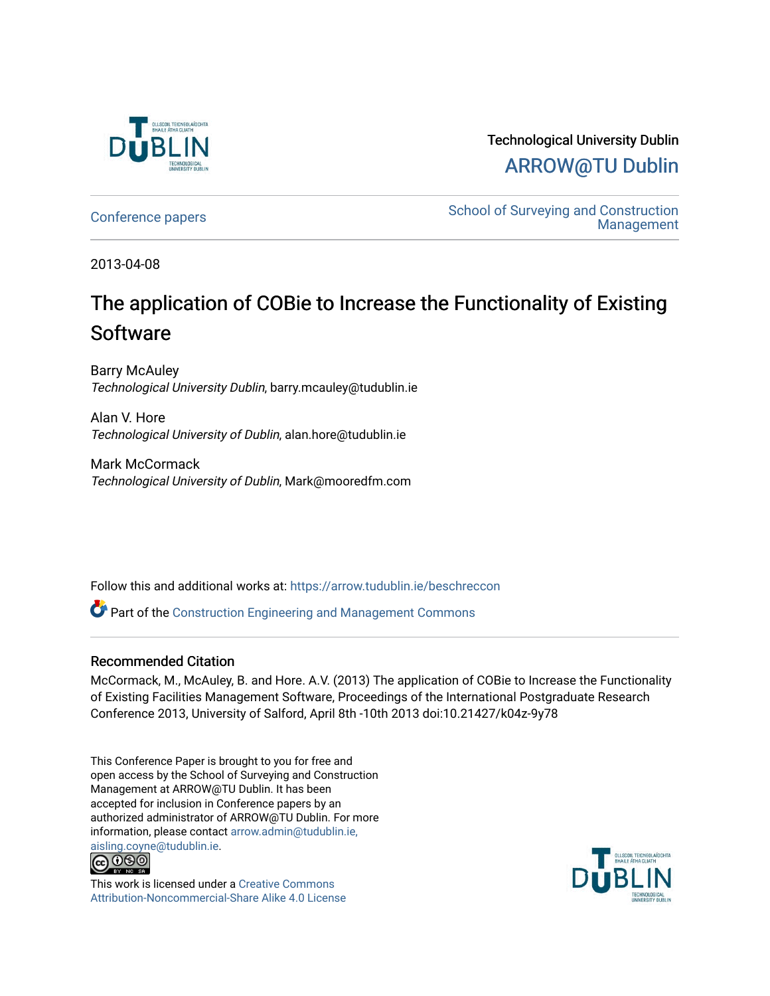

Technological University Dublin [ARROW@TU Dublin](https://arrow.tudublin.ie/) 

[Conference papers](https://arrow.tudublin.ie/beschreccon) School of Surveying and Construction [Management](https://arrow.tudublin.ie/beschrec) 

2013-04-08

# The application of COBie to Increase the Functionality of Existing **Software**

Barry McAuley Technological University Dublin, barry.mcauley@tudublin.ie

Alan V. Hore Technological University of Dublin, alan.hore@tudublin.ie

Mark McCormack Technological University of Dublin, Mark@mooredfm.com

Follow this and additional works at: [https://arrow.tudublin.ie/beschreccon](https://arrow.tudublin.ie/beschreccon?utm_source=arrow.tudublin.ie%2Fbeschreccon%2F37&utm_medium=PDF&utm_campaign=PDFCoverPages)

Part of the [Construction Engineering and Management Commons](http://network.bepress.com/hgg/discipline/253?utm_source=arrow.tudublin.ie%2Fbeschreccon%2F37&utm_medium=PDF&utm_campaign=PDFCoverPages)

#### Recommended Citation

McCormack, M., McAuley, B. and Hore. A.V. (2013) The application of COBie to Increase the Functionality of Existing Facilities Management Software, Proceedings of the International Postgraduate Research Conference 2013, University of Salford, April 8th -10th 2013 doi:10.21427/k04z-9y78

This Conference Paper is brought to you for free and open access by the School of Surveying and Construction Management at ARROW@TU Dublin. It has been accepted for inclusion in Conference papers by an authorized administrator of ARROW@TU Dublin. For more information, please contact [arrow.admin@tudublin.ie,](mailto:arrow.admin@tudublin.ie,%20aisling.coyne@tudublin.ie)  [aisling.coyne@tudublin.ie.](mailto:arrow.admin@tudublin.ie,%20aisling.coyne@tudublin.ie)<br>@060



This work is licensed under a [Creative Commons](http://creativecommons.org/licenses/by-nc-sa/4.0/) [Attribution-Noncommercial-Share Alike 4.0 License](http://creativecommons.org/licenses/by-nc-sa/4.0/)

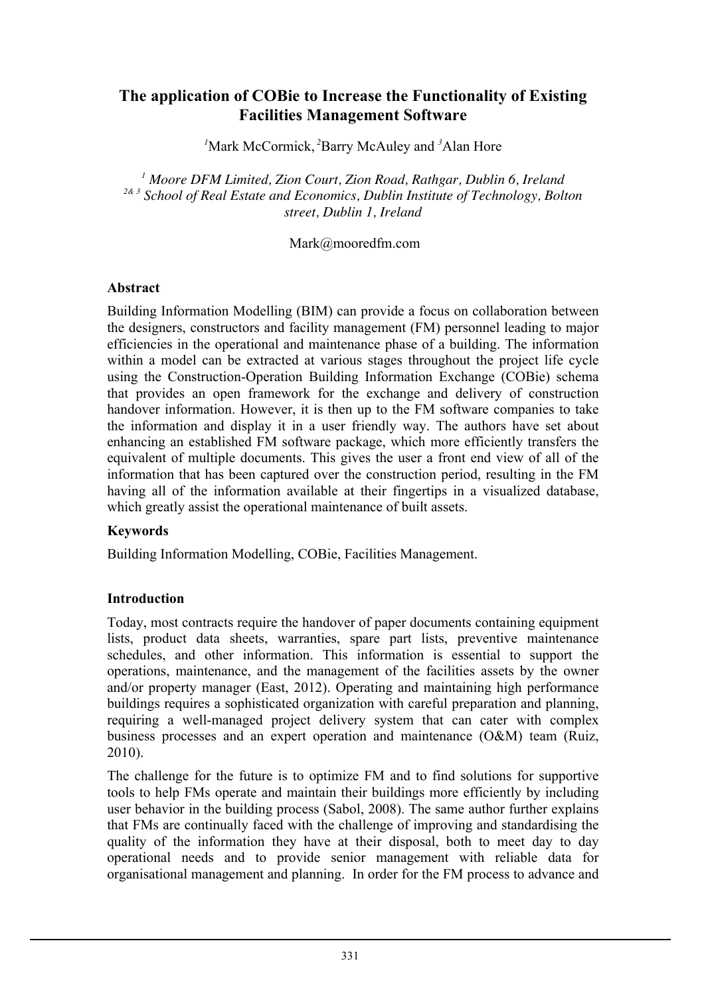# **The application of COBie to Increase the Functionality of Existing Facilities Management Software**

*1* Mark McCormick, *<sup>2</sup>* Barry McAuley and *<sup>3</sup>* Alan Hore

*<sup>1</sup> Moore DFM Limited, Zion Court, Zion Road, Rathgar, Dublin 6, Ireland 2& 3 School of Real Estate and Economics, Dublin Institute of Technology, Bolton street, Dublin 1, Ireland*

Mark@mooredfm.com

#### **Abstract**

Building Information Modelling (BIM) can provide a focus on collaboration between the designers, constructors and facility management (FM) personnel leading to major efficiencies in the operational and maintenance phase of a building. The information within a model can be extracted at various stages throughout the project life cycle using the Construction-Operation Building Information Exchange (COBie) schema that provides an open framework for the exchange and delivery of construction handover information. However, it is then up to the FM software companies to take the information and display it in a user friendly way. The authors have set about enhancing an established FM software package, which more efficiently transfers the equivalent of multiple documents. This gives the user a front end view of all of the information that has been captured over the construction period, resulting in the FM having all of the information available at their fingertips in a visualized database, which greatly assist the operational maintenance of built assets.

#### **Keywords**

Building Information Modelling, COBie, Facilities Management.

#### **Introduction**

Today, most contracts require the handover of paper documents containing equipment lists, product data sheets, warranties, spare part lists, preventive maintenance schedules, and other information. This information is essential to support the operations, maintenance, and the management of the facilities assets by the owner and/or property manager (East, 2012). Operating and maintaining high performance buildings requires a sophisticated organization with careful preparation and planning, requiring a well-managed project delivery system that can cater with complex business processes and an expert operation and maintenance (O&M) team (Ruiz, 2010).

The challenge for the future is to optimize FM and to find solutions for supportive tools to help FMs operate and maintain their buildings more efficiently by including user behavior in the building process (Sabol, 2008). The same author further explains that FMs are continually faced with the challenge of improving and standardising the quality of the information they have at their disposal, both to meet day to day operational needs and to provide senior management with reliable data for organisational management and planning. In order for the FM process to advance and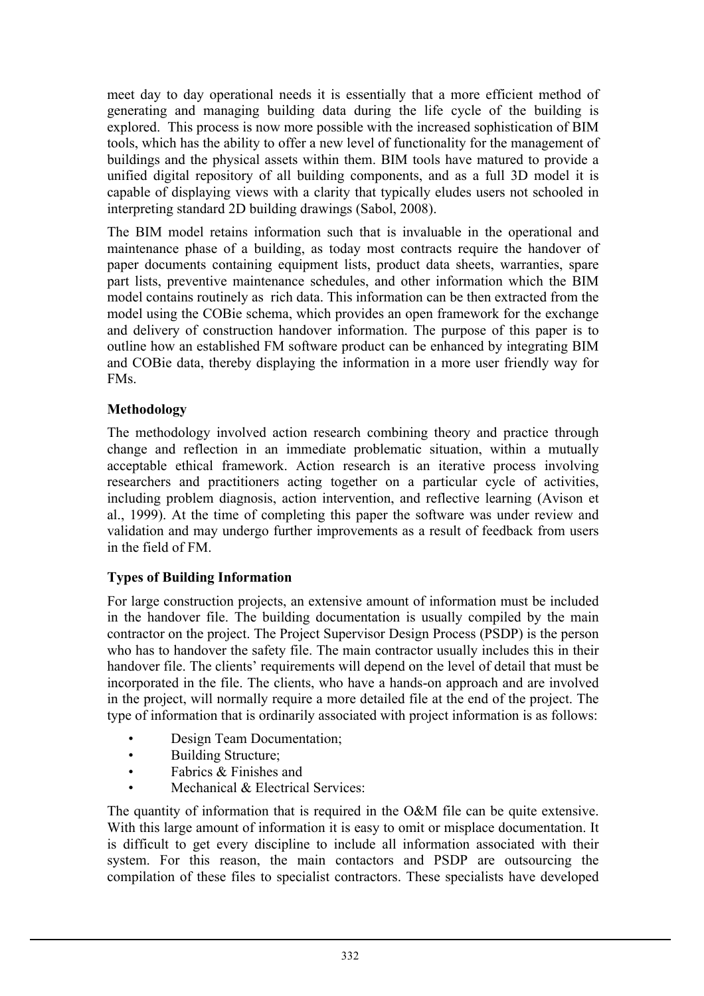meet day to day operational needs it is essentially that a more efficient method of generating and managing building data during the life cycle of the building is explored. This process is now more possible with the increased sophistication of BIM tools, which has the ability to offer a new level of functionality for the management of buildings and the physical assets within them. BIM tools have matured to provide a unified digital repository of all building components, and as a full 3D model it is capable of displaying views with a clarity that typically eludes users not schooled in interpreting standard 2D building drawings (Sabol, 2008).

The BIM model retains information such that is invaluable in the operational and maintenance phase of a building, as today most contracts require the handover of paper documents containing equipment lists, product data sheets, warranties, spare part lists, preventive maintenance schedules, and other information which the BIM model contains routinely as rich data. This information can be then extracted from the model using the COBie schema, which provides an open framework for the exchange and delivery of construction handover information. The purpose of this paper is to outline how an established FM software product can be enhanced by integrating BIM and COBie data, thereby displaying the information in a more user friendly way for FMs.

## **Methodology**

The methodology involved action research combining theory and practice through change and reflection in an immediate problematic situation, within a mutually acceptable ethical framework. Action research is an iterative process involving researchers and practitioners acting together on a particular cycle of activities, including problem diagnosis, action intervention, and reflective learning (Avison et al., 1999). At the time of completing this paper the software was under review and validation and may undergo further improvements as a result of feedback from users in the field of FM.

# **Types of Building Information**

For large construction projects, an extensive amount of information must be included in the handover file. The building documentation is usually compiled by the main contractor on the project. The Project Supervisor Design Process (PSDP) is the person who has to handover the safety file. The main contractor usually includes this in their handover file. The clients' requirements will depend on the level of detail that must be incorporated in the file. The clients, who have a hands-on approach and are involved in the project, will normally require a more detailed file at the end of the project. The type of information that is ordinarily associated with project information is as follows:

- Design Team Documentation;
- Building Structure;
- Fabrics & Finishes and
- Mechanical & Electrical Services:

The quantity of information that is required in the O&M file can be quite extensive. With this large amount of information it is easy to omit or misplace documentation. It is difficult to get every discipline to include all information associated with their system. For this reason, the main contactors and PSDP are outsourcing the compilation of these files to specialist contractors. These specialists have developed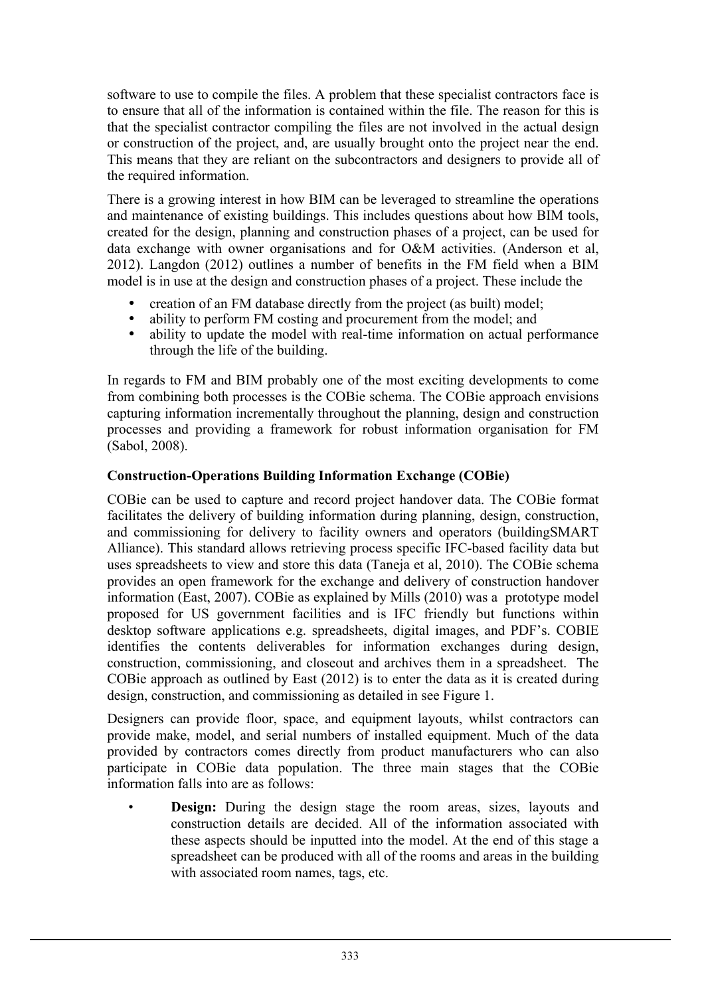software to use to compile the files. A problem that these specialist contractors face is to ensure that all of the information is contained within the file. The reason for this is that the specialist contractor compiling the files are not involved in the actual design or construction of the project, and, are usually brought onto the project near the end. This means that they are reliant on the subcontractors and designers to provide all of the required information.

There is a growing interest in how BIM can be leveraged to streamline the operations and maintenance of existing buildings. This includes questions about how BIM tools, created for the design, planning and construction phases of a project, can be used for data exchange with owner organisations and for O&M activities. (Anderson et al, 2012). Langdon (2012) outlines a number of benefits in the FM field when a BIM model is in use at the design and construction phases of a project. These include the

- creation of an FM database directly from the project (as built) model;
- ability to perform FM costing and procurement from the model; and
- ability to update the model with real-time information on actual performance through the life of the building.

In regards to FM and BIM probably one of the most exciting developments to come from combining both processes is the COBie schema. The COBie approach envisions capturing information incrementally throughout the planning, design and construction processes and providing a framework for robust information organisation for FM (Sabol, 2008).

## **Construction-Operations Building Information Exchange (COBie)**

COBie can be used to capture and record project handover data. The COBie format facilitates the delivery of building information during planning, design, construction, and commissioning for delivery to facility owners and operators (buildingSMART Alliance). This standard allows retrieving process specific IFC-based facility data but uses spreadsheets to view and store this data (Taneja et al, 2010). The COBie schema provides an open framework for the exchange and delivery of construction handover information (East, 2007). COBie as explained by Mills (2010) was a prototype model proposed for US government facilities and is IFC friendly but functions within desktop software applications e.g. spreadsheets, digital images, and PDF's. COBIE identifies the contents deliverables for information exchanges during design, construction, commissioning, and closeout and archives them in a spreadsheet. The COBie approach as outlined by East (2012) is to enter the data as it is created during design, construction, and commissioning as detailed in see Figure 1.

Designers can provide floor, space, and equipment layouts, whilst contractors can provide make, model, and serial numbers of installed equipment. Much of the data provided by contractors comes directly from product manufacturers who can also participate in COBie data population. The three main stages that the COBie information falls into are as follows:

**Design:** During the design stage the room areas, sizes, layouts and construction details are decided. All of the information associated with these aspects should be inputted into the model. At the end of this stage a spreadsheet can be produced with all of the rooms and areas in the building with associated room names, tags, etc.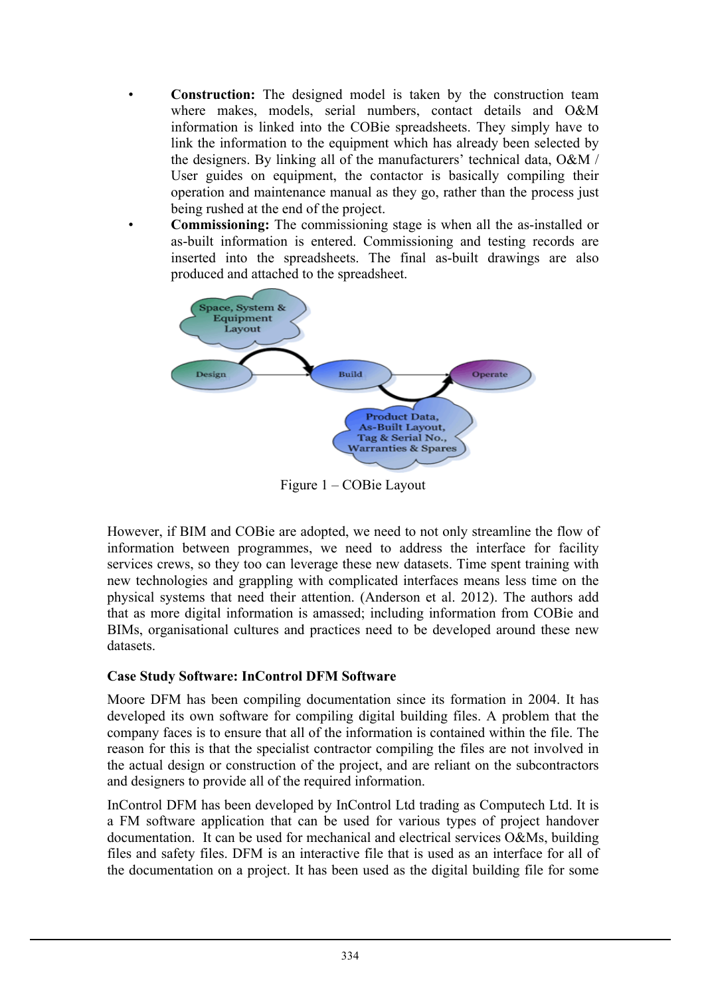- **Construction:** The designed model is taken by the construction team where makes, models, serial numbers, contact details and O&M information is linked into the COBie spreadsheets. They simply have to link the information to the equipment which has already been selected by the designers. By linking all of the manufacturers' technical data, O&M / User guides on equipment, the contactor is basically compiling their operation and maintenance manual as they go, rather than the process just being rushed at the end of the project.
- **Commissioning:** The commissioning stage is when all the as-installed or as-built information is entered. Commissioning and testing records are inserted into the spreadsheets. The final as-built drawings are also produced and attached to the spreadsheet.



Figure 1 – COBie Layout

However, if BIM and COBie are adopted, we need to not only streamline the flow of information between programmes, we need to address the interface for facility services crews, so they too can leverage these new datasets. Time spent training with new technologies and grappling with complicated interfaces means less time on the physical systems that need their attention. (Anderson et al. 2012). The authors add that as more digital information is amassed; including information from COBie and BIMs, organisational cultures and practices need to be developed around these new datasets.

# **Case Study Software: InControl DFM Software**

Moore DFM has been compiling documentation since its formation in 2004. It has developed its own software for compiling digital building files. A problem that the company faces is to ensure that all of the information is contained within the file. The reason for this is that the specialist contractor compiling the files are not involved in the actual design or construction of the project, and are reliant on the subcontractors and designers to provide all of the required information.

InControl DFM has been developed by InControl Ltd trading as Computech Ltd. It is a FM software application that can be used for various types of project handover documentation. It can be used for mechanical and electrical services O&Ms, building files and safety files. DFM is an interactive file that is used as an interface for all of the documentation on a project. It has been used as the digital building file for some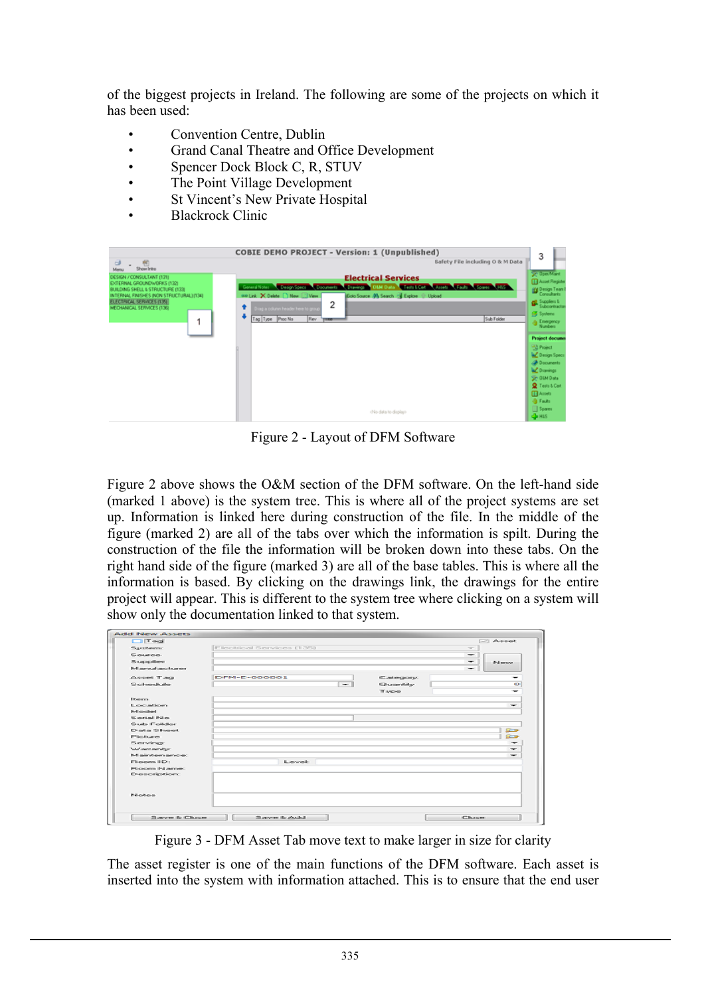of the biggest projects in Ireland. The following are some of the projects on which it has been used:

- Convention Centre, Dublin
- Grand Canal Theatre and Office Development
- Spencer Dock Block C, R, STUV
- The Point Village Development
- St Vincent's New Private Hospital
- Blackrock Clinic



Figure 2 - Layout of DFM Software

Figure 2 above shows the O&M section of the DFM software. On the left-hand side (marked 1 above) is the system tree. This is where all of the project systems are set up. Information is linked here during construction of the file. In the middle of the figure (marked 2) are all of the tabs over which the information is spilt. During the construction of the file the information will be broken down into these tabs. On the right hand side of the figure (marked 3) are all of the base tables. This is where all the information is based. By clicking on the drawings link, the drawings for the entire project will appear. This is different to the system tree where clicking on a system will show only the documentation linked to that system.

| $\Box$ Teg          |                                      |                          | <b>INTI Asset</b>        |
|---------------------|--------------------------------------|--------------------------|--------------------------|
| System:             | Electrical Services (135)            | $\sim$                   |                          |
| SOURCE              |                                      | $\overline{\phantom{0}}$ |                          |
| Supplier            |                                      | $\overline{\phantom{0}}$ | <b>IN conve</b>          |
| Manufacturer        |                                      |                          |                          |
| Aspet Tag           | DFM-E-000001<br>Category:            |                          |                          |
| Schedule.           | Quantity<br>$\overline{\phantom{a}}$ |                          | $\circ$                  |
|                     | Type                                 |                          |                          |
| <b>Ebern</b>        |                                      |                          |                          |
| L ocation           |                                      |                          | $\overline{\phantom{a}}$ |
| Model               |                                      |                          |                          |
| Serial No           |                                      |                          |                          |
| Sub Folder          |                                      |                          |                          |
| <b>Data Sheet</b>   |                                      |                          | <b>ROW</b>               |
| Picture             |                                      |                          | <b>Report</b>            |
| Serving             |                                      |                          | $\overline{\phantom{a}}$ |
| Warranty:           |                                      |                          | -                        |
| Maintenance:        |                                      |                          |                          |
| Room ID:            | Level                                |                          |                          |
| Room Name:          |                                      |                          |                          |
| <b>Description:</b> |                                      |                          |                          |
| <b>Pilothero</b>    |                                      |                          |                          |
| Save & Close        | Save & Add                           | Close                    |                          |

Figure 3 - DFM Asset Tab move text to make larger in size for clarity

The asset register is one of the main functions of the DFM software. Each asset is inserted into the system with information attached. This is to ensure that the end user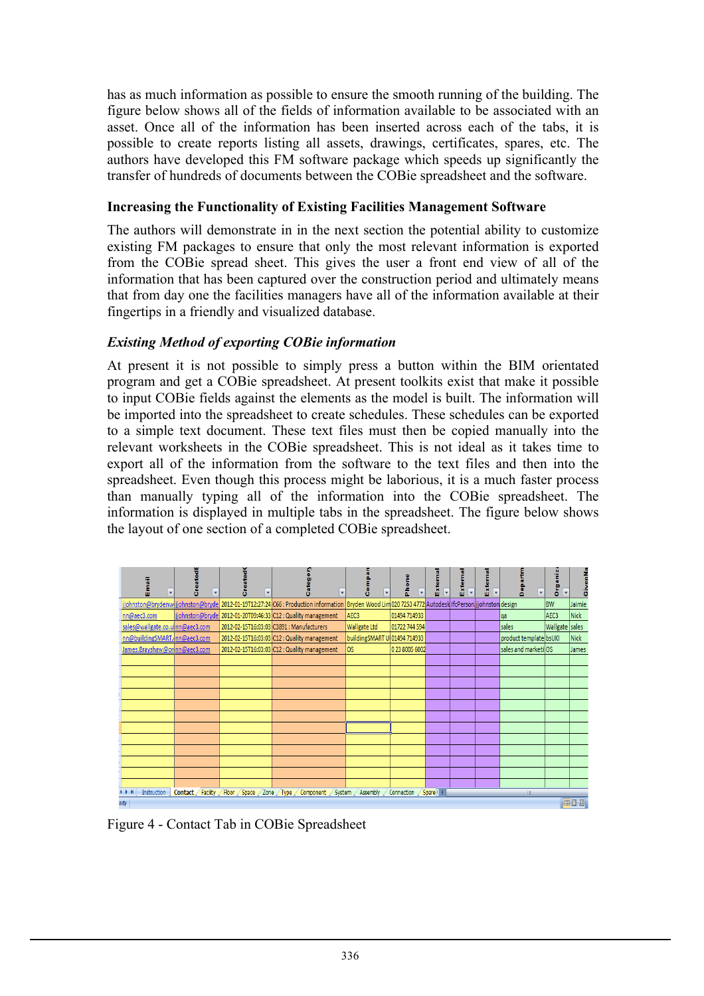has as much information as possible to ensure the smooth running of the building. The figure below shows all of the fields of information available to be associated with an asset. Once all of the information has been inserted across each of the tabs, it is possible to create reports listing all assets, drawings, certificates, spares, etc. The authors have developed this FM software package which speeds up significantly the transfer of hundreds of documents between the COBie spreadsheet and the software.

## **Increasing the Functionality of Existing Facilities Management Software**

The authors will demonstrate in in the next section the potential ability to customize existing FM packages to ensure that only the most relevant information is exported from the COBie spread sheet. This gives the user a front end view of all of the information that has been captured over the construction period and ultimately means that from day one the facilities managers have all of the information available at their fingertips in a friendly and visualized database.

## *Existing Method of exporting COBie information*

At present it is not possible to simply press a button within the BIM orientated program and get a COBie spreadsheet. At present toolkits exist that make it possible to input COBie fields against the elements as the model is built. The information will be imported into the spreadsheet to create schedules. These schedules can be exported to a simple text document. These text files must then be copied manually into the relevant worksheets in the COBie spreadsheet. This is not ideal as it takes time to export all of the information from the software to the text files and then into the spreadsheet. Even though this process might be laborious, it is a much faster process than manually typing all of the information into the COBie spreadsheet. The information is displayed in multiple tabs in the spreadsheet. The figure below shows the layout of one section of a completed COBie spreadsheet.

|                                                                                                                                                                 | Eimail<br>$\mathbf{v}$          | Created<br>$\mathbf{v}$       | $\overline{\mathbf{v}}$<br>ō | $\overline{\mathbf{v}}$                                                                                                                                            | E<br>S<br>$\bar{\mathbf{v}}$ | Phone<br>$\overline{\mathbf{v}}$ | Extern<br>$\overline{\mathbf{v}}$ | Externa<br>Ÿ | Externa<br>$\overline{\mathbf{v}}$ | Departm<br>$\overline{\mathbf{v}}$ | Organiz<br>v     | z<br>é      |
|-----------------------------------------------------------------------------------------------------------------------------------------------------------------|---------------------------------|-------------------------------|------------------------------|--------------------------------------------------------------------------------------------------------------------------------------------------------------------|------------------------------|----------------------------------|-----------------------------------|--------------|------------------------------------|------------------------------------|------------------|-------------|
|                                                                                                                                                                 |                                 |                               |                              | johnston@brydenw jjohnston@bryde  2012-01-19T12:27:24 C66 : Production information <mark> Bryden Wood Lim</mark> 020 7253 4772 Autodesk IfcPerson jjohnston design |                              |                                  |                                   |              |                                    |                                    | <b>BW</b>        | Jaimie      |
|                                                                                                                                                                 | nn@aec3.com                     |                               |                              | jjohnston@bryde 2012-01-20T09:46:33 C12 : Quality management                                                                                                       | AEC <sub>3</sub>             | 01494 714933                     |                                   |              |                                    | qa                                 | AEC <sub>3</sub> | <b>Nick</b> |
|                                                                                                                                                                 | sales@wallgate.co.u nn@aec3.com |                               |                              | 2012-02-15T16:03:03 C3891 : Manufacturers                                                                                                                          | <b>Wallgate Ltd</b>          | 01722 744 594                    |                                   |              |                                    | sales                              | Wallgate sales   |             |
|                                                                                                                                                                 | nn@buildingSMART.inn@aec3.com   |                               |                              | 2012-02-15T16:03:03 C12: Quality management                                                                                                                        | buildingSMART U 01494 714933 |                                  |                                   |              |                                    | product template bsUKI             |                  | <b>Nick</b> |
|                                                                                                                                                                 |                                 | James.Brayshaw@orinn@aec3.com |                              | 2012-02-15T16:03:03 C12 : Quality management                                                                                                                       | <b>OS</b>                    | 0 23 8005 6002                   |                                   |              |                                    | sales and marketiOS                |                  | James       |
|                                                                                                                                                                 |                                 |                               |                              |                                                                                                                                                                    |                              |                                  |                                   |              |                                    |                                    |                  |             |
|                                                                                                                                                                 |                                 |                               |                              |                                                                                                                                                                    |                              |                                  |                                   |              |                                    |                                    |                  |             |
|                                                                                                                                                                 |                                 |                               |                              |                                                                                                                                                                    |                              |                                  |                                   |              |                                    |                                    |                  |             |
|                                                                                                                                                                 |                                 |                               |                              |                                                                                                                                                                    |                              |                                  |                                   |              |                                    |                                    |                  |             |
|                                                                                                                                                                 |                                 |                               |                              |                                                                                                                                                                    |                              |                                  |                                   |              |                                    |                                    |                  |             |
|                                                                                                                                                                 |                                 |                               |                              |                                                                                                                                                                    |                              |                                  |                                   |              |                                    |                                    |                  |             |
|                                                                                                                                                                 |                                 |                               |                              |                                                                                                                                                                    |                              |                                  |                                   |              |                                    |                                    |                  |             |
|                                                                                                                                                                 |                                 |                               |                              |                                                                                                                                                                    |                              |                                  |                                   |              |                                    |                                    |                  |             |
|                                                                                                                                                                 |                                 |                               |                              |                                                                                                                                                                    |                              |                                  |                                   |              |                                    |                                    |                  |             |
|                                                                                                                                                                 |                                 |                               |                              |                                                                                                                                                                    |                              |                                  |                                   |              |                                    |                                    |                  |             |
|                                                                                                                                                                 |                                 |                               |                              |                                                                                                                                                                    |                              |                                  |                                   |              |                                    |                                    |                  |             |
|                                                                                                                                                                 |                                 |                               |                              |                                                                                                                                                                    |                              |                                  |                                   |              |                                    |                                    |                  |             |
| Instruction<br>Contact Facility Floor Space Zone Type<br>$+$ H<br>Assembly<br>Connection<br>Spare    <br>Component /<br>System<br>$\overline{\phantom{0}}$<br>ш |                                 |                               |                              |                                                                                                                                                                    |                              |                                  |                                   |              |                                    |                                    |                  |             |
| ady:                                                                                                                                                            |                                 |                               |                              |                                                                                                                                                                    |                              |                                  |                                   |              |                                    |                                    |                  | 田回凹         |

Figure 4 - Contact Tab in COBie Spreadsheet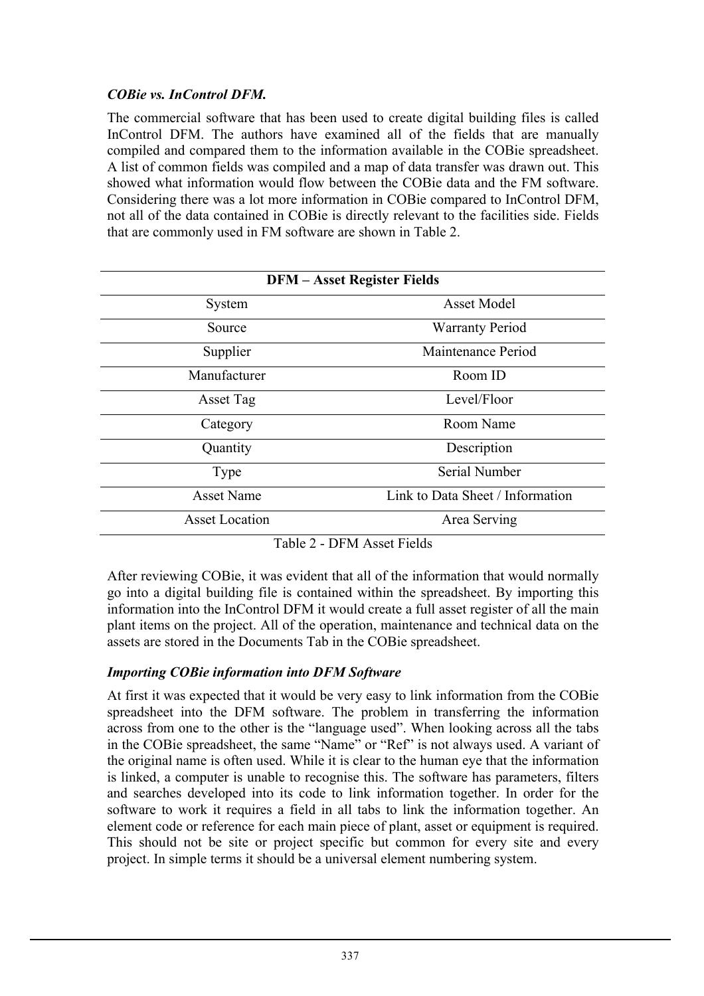# *COBie vs. InControl DFM.*

The commercial software that has been used to create digital building files is called InControl DFM. The authors have examined all of the fields that are manually compiled and compared them to the information available in the COBie spreadsheet. A list of common fields was compiled and a map of data transfer was drawn out. This showed what information would flow between the COBie data and the FM software. Considering there was a lot more information in COBie compared to InControl DFM, not all of the data contained in COBie is directly relevant to the facilities side. Fields that are commonly used in FM software are shown in Table 2.

|                       | <b>DFM-Asset Register Fields</b><br>Asset Model<br>System<br><b>Warranty Period</b><br>Source<br>Maintenance Period<br>Supplier<br>Room ID |  |  |  |  |  |
|-----------------------|--------------------------------------------------------------------------------------------------------------------------------------------|--|--|--|--|--|
|                       |                                                                                                                                            |  |  |  |  |  |
|                       |                                                                                                                                            |  |  |  |  |  |
|                       |                                                                                                                                            |  |  |  |  |  |
| Manufacturer          |                                                                                                                                            |  |  |  |  |  |
| Asset Tag             | Level/Floor                                                                                                                                |  |  |  |  |  |
| Category              | Room Name                                                                                                                                  |  |  |  |  |  |
| Quantity              | Description                                                                                                                                |  |  |  |  |  |
| Type                  | <b>Serial Number</b>                                                                                                                       |  |  |  |  |  |
| <b>Asset Name</b>     | Link to Data Sheet / Information                                                                                                           |  |  |  |  |  |
| <b>Asset Location</b> | Area Serving                                                                                                                               |  |  |  |  |  |

Table 2 - DFM Asset Fields

After reviewing COBie, it was evident that all of the information that would normally go into a digital building file is contained within the spreadsheet. By importing this information into the InControl DFM it would create a full asset register of all the main plant items on the project. All of the operation, maintenance and technical data on the assets are stored in the Documents Tab in the COBie spreadsheet.

# *Importing COBie information into DFM Software*

At first it was expected that it would be very easy to link information from the COBie spreadsheet into the DFM software. The problem in transferring the information across from one to the other is the "language used". When looking across all the tabs in the COBie spreadsheet, the same "Name" or "Ref" is not always used. A variant of the original name is often used. While it is clear to the human eye that the information is linked, a computer is unable to recognise this. The software has parameters, filters and searches developed into its code to link information together. In order for the software to work it requires a field in all tabs to link the information together. An element code or reference for each main piece of plant, asset or equipment is required. This should not be site or project specific but common for every site and every project. In simple terms it should be a universal element numbering system.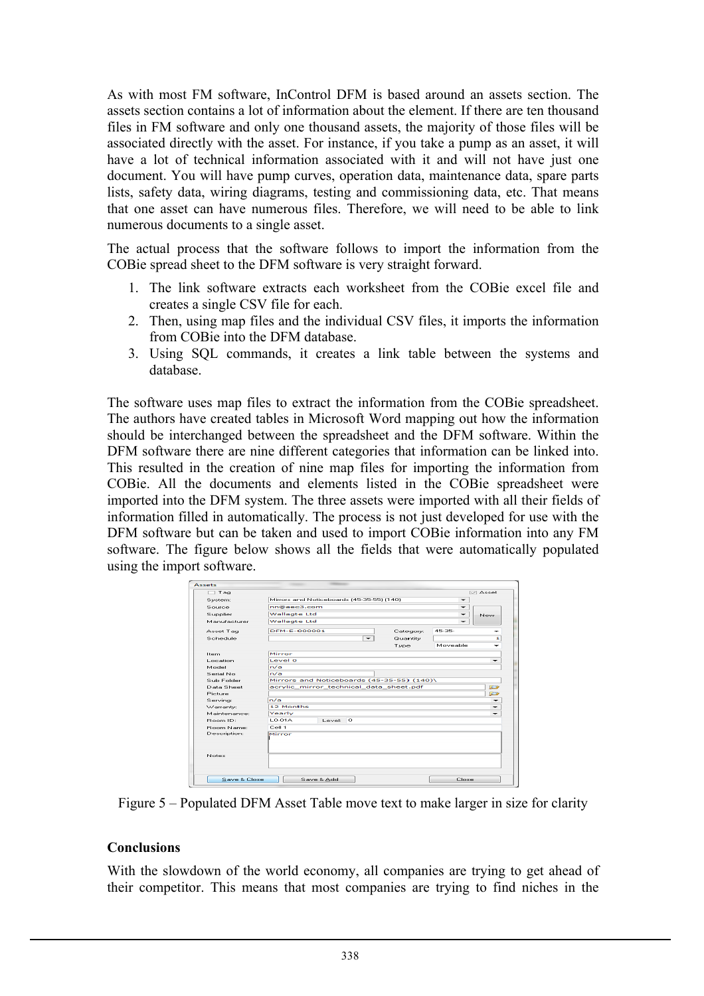As with most FM software, InControl DFM is based around an assets section. The assets section contains a lot of information about the element. If there are ten thousand files in FM software and only one thousand assets, the majority of those files will be associated directly with the asset. For instance, if you take a pump as an asset, it will have a lot of technical information associated with it and will not have just one document. You will have pump curves, operation data, maintenance data, spare parts lists, safety data, wiring diagrams, testing and commissioning data, etc. That means that one asset can have numerous files. Therefore, we will need to be able to link numerous documents to a single asset.

The actual process that the software follows to import the information from the COBie spread sheet to the DFM software is very straight forward.

- 1. The link software extracts each worksheet from the COBie excel file and creates a single CSV file for each.
- 2. Then, using map files and the individual CSV files, it imports the information from COBie into the DFM database.
- 3. Using SQL commands, it creates a link table between the systems and database.

The software uses map files to extract the information from the COBie spreadsheet. The authors have created tables in Microsoft Word mapping out how the information should be interchanged between the spreadsheet and the DFM software. Within the DFM software there are nine different categories that information can be linked into. This resulted in the creation of nine map files for importing the information from COBie. All the documents and elements listed in the COBie spreadsheet were imported into the DFM system. The three assets were imported with all their fields of information filled in automatically. The process is not just developed for use with the DFM software but can be taken and used to import COBie information into any FM software. The figure below shows all the fields that were automatically populated using the import software.

| Tag                    |                          |                                                   |                                           |           |          | I√ Asset |  |  |  |
|------------------------|--------------------------|---------------------------------------------------|-------------------------------------------|-----------|----------|----------|--|--|--|
|                        |                          |                                                   |                                           |           |          |          |  |  |  |
| System:                |                          |                                                   | Mirrors and Noticeboards (45-35-55) (140) |           |          |          |  |  |  |
| Source                 | nn@aec3.com              |                                                   |                                           |           |          |          |  |  |  |
| Supplier               | <b>Wallagte Ltd</b>      |                                                   |                                           |           |          | New      |  |  |  |
| Manufacturer           | <b>Wallagte Ltd</b>      |                                                   |                                           |           |          |          |  |  |  |
| Asset Tag              | DEM-E-000001             |                                                   |                                           | Category: | 45-35-   |          |  |  |  |
| Schedule               | $\overline{\phantom{0}}$ |                                                   |                                           | Quantity  | ı        |          |  |  |  |
|                        |                          |                                                   |                                           | Type      | Moveable |          |  |  |  |
| Item.                  | Mirror                   |                                                   |                                           |           |          |          |  |  |  |
| Location.              | Level 0                  |                                                   |                                           |           |          | ÷        |  |  |  |
| Model                  | m/a                      |                                                   |                                           |           |          |          |  |  |  |
| Serial No.             | m/n                      |                                                   |                                           |           |          |          |  |  |  |
| Sub Folder             |                          | Mirrors and Noticeboards (45-35-55) (140)\        |                                           |           |          |          |  |  |  |
| Data Sheet             |                          | $\sim$<br>acrylic mirror technical data sheet.pdf |                                           |           |          |          |  |  |  |
| Picture                |                          |                                                   |                                           |           |          | œ        |  |  |  |
| Serving:               | n/a                      |                                                   |                                           |           |          |          |  |  |  |
| Warranty:              |                          | $\frac{1}{1}$<br>12 Months                        |                                           |           |          |          |  |  |  |
| Maintenance:           | Yearly                   |                                                   |                                           |           |          | -        |  |  |  |
| Boom ID:               | 0.014                    | Level: 0                                          |                                           |           |          |          |  |  |  |
| Boom Name:             | Cell 1                   |                                                   |                                           |           |          |          |  |  |  |
| Description:<br>Notes: | Mirror                   |                                                   |                                           |           |          |          |  |  |  |
| Save & Close           |                          | Save & Add                                        |                                           |           | Close    |          |  |  |  |

Figure 5 – Populated DFM Asset Table move text to make larger in size for clarity

#### **Conclusions**

With the slowdown of the world economy, all companies are trying to get ahead of their competitor. This means that most companies are trying to find niches in the